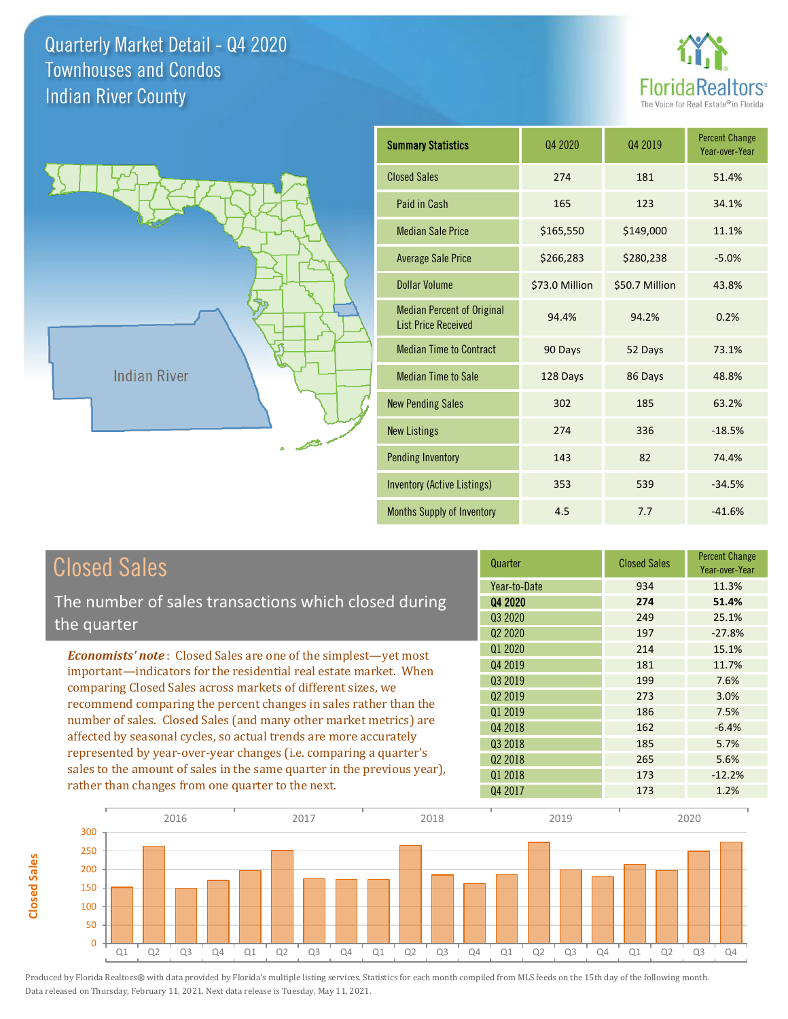**Closed Sales**

**Closed Sales** 





| <b>Summary Statistics</b>                                       | 04 2020        | Q4 2019        | <b>Percent Change</b><br>Year-over-Year |
|-----------------------------------------------------------------|----------------|----------------|-----------------------------------------|
| <b>Closed Sales</b>                                             | 274            | 181            | 51.4%                                   |
| Paid in Cash                                                    | 165            | 123            | 34.1%                                   |
| <b>Median Sale Price</b>                                        | \$165,550      | \$149,000      | 11.1%                                   |
| <b>Average Sale Price</b>                                       | \$266,283      | \$280,238      | $-5.0%$                                 |
| Dollar Volume                                                   | \$73.0 Million | \$50.7 Million | 43.8%                                   |
| <b>Median Percent of Original</b><br><b>List Price Received</b> | 94.4%          | 94.2%          | 0.2%                                    |
| <b>Median Time to Contract</b>                                  | 90 Days        | 52 Days        | 73.1%                                   |
| <b>Median Time to Sale</b>                                      | 128 Days       | 86 Days        | 48.8%                                   |
| <b>New Pending Sales</b>                                        | 302            | 185            | 63.2%                                   |
| <b>New Listings</b>                                             | 274            | 336            | $-18.5%$                                |
| <b>Pending Inventory</b>                                        | 143            | 82             | 74.4%                                   |
| <b>Inventory (Active Listings)</b>                              | 353            | 539            | $-34.5%$                                |
| Months Supply of Inventory                                      | 4.5            | 7.7            | $-41.6%$                                |

| <b>Closed Sales</b>                                                                                                                          | Quarter             | <b>Closed Sales</b> | <b>Percent Change</b><br>Year-over-Year |
|----------------------------------------------------------------------------------------------------------------------------------------------|---------------------|---------------------|-----------------------------------------|
|                                                                                                                                              | Year-to-Date        | 934                 | 11.3%                                   |
| The number of sales transactions which closed during                                                                                         | Q4 2020             | 274                 | 51.4%                                   |
| the quarter                                                                                                                                  | Q3 2020             | 249                 | 25.1%                                   |
|                                                                                                                                              | 02 2020             | 197                 | $-27.8%$                                |
| <b>Economists' note:</b> Closed Sales are one of the simplest—yet most                                                                       | Q1 2020             | 214                 | 15.1%                                   |
| important—indicators for the residential real estate market. When                                                                            | Q4 2019             | 181                 | 11.7%                                   |
| comparing Closed Sales across markets of different sizes, we<br>recommend comparing the percent changes in sales rather than the             | Q3 2019             | 199                 | 7.6%                                    |
|                                                                                                                                              | 02 2019             | 273                 | 3.0%                                    |
|                                                                                                                                              | 01 2019             | 186                 | 7.5%                                    |
| number of sales. Closed Sales (and many other market metrics) are                                                                            | Q4 2018             | 162                 | $-6.4%$                                 |
| affected by seasonal cycles, so actual trends are more accurately                                                                            | 03 2018             | 185                 | 5.7%                                    |
| represented by year-over-year changes (i.e. comparing a quarter's<br>sales to the amount of sales in the same quarter in the previous year), | Q <sub>2</sub> 2018 | 265                 | 5.6%                                    |
|                                                                                                                                              | Q1 2018             | 173                 | $-12.2%$                                |
| rather than changes from one quarter to the next.                                                                                            | Q4 2017             | 173                 | 1.2%                                    |

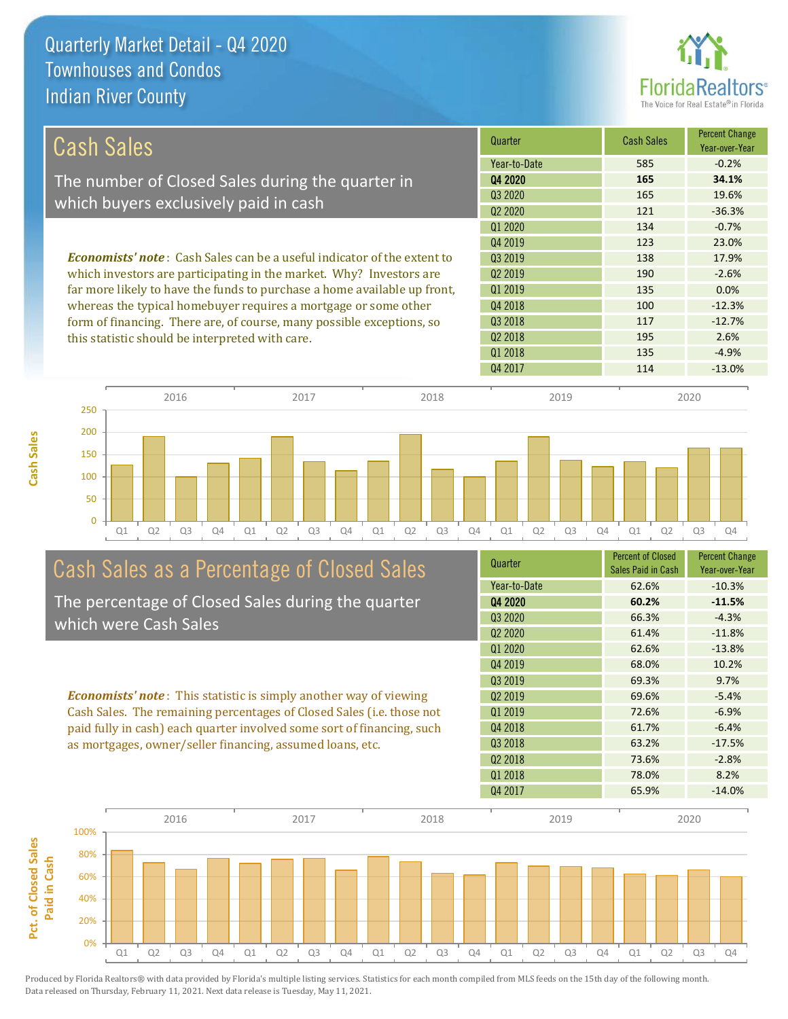

| Cash Sales                                                                     | Quarter                         | <b>Cash Sales</b> | <b>Percent Change</b><br>Year-over-Year |
|--------------------------------------------------------------------------------|---------------------------------|-------------------|-----------------------------------------|
|                                                                                | Year-to-Date                    | 585               | $-0.2%$                                 |
| The number of Closed Sales during the quarter in                               | Q4 2020                         | 165               | 34.1%                                   |
| which buyers exclusively paid in cash                                          | Q3 2020                         | 165               | 19.6%                                   |
|                                                                                | Q <sub>2</sub> 20 <sub>20</sub> | 121               | $-36.3%$                                |
|                                                                                | Q1 2020                         | 134               | $-0.7%$                                 |
|                                                                                | Q4 2019                         | 123               | 23.0%                                   |
| <b>Economists' note:</b> Cash Sales can be a useful indicator of the extent to | 03 2019                         | 138               | 17.9%                                   |
| which investors are participating in the market. Why? Investors are            | Q <sub>2</sub> 2019             | 190               | $-2.6%$                                 |
| far more likely to have the funds to purchase a home available up front,       | Q1 2019                         | 135               | 0.0%                                    |
| whereas the typical homebuyer requires a mortgage or some other                | Q4 2018                         | 100               | $-12.3%$                                |
| form of financing. There are, of course, many possible exceptions, so          | Q3 2018                         | 117               | $-12.7%$                                |
| this statistic should be interpreted with care.                                | 02 2018                         | 195               | 2.6%                                    |
|                                                                                | Q1 2018                         | 135               | $-4.9%$                                 |
|                                                                                | Q4 2017                         | 114               | $-13.0%$                                |



2016 2017 2018 2019 2020

# Cash Sales as a Percentage of Closed Sales

The percentage of Closed Sales during the quarter which were Cash Sales

*Economists' note* : This statistic is simply another way of viewing Cash Sales. The remaining percentages of Closed Sales (i.e. those not paid fully in cash) each quarter involved some sort of financing, such as mortgages, owner/seller financing, assumed loans, etc.

| Quarter                         | <b>Percent of Closed</b><br>Sales Paid in Cash | <b>Percent Change</b><br>Year-over-Year |
|---------------------------------|------------------------------------------------|-----------------------------------------|
| Year-to-Date                    | 62.6%                                          | $-10.3%$                                |
| Q4 2020                         | 60.2%                                          | $-11.5%$                                |
| Q3 2020                         | 66.3%                                          | $-4.3%$                                 |
| Q <sub>2</sub> 20 <sub>20</sub> | 61.4%                                          | $-11.8%$                                |
| Q1 2020                         | 62.6%                                          | $-13.8%$                                |
| Q4 2019                         | 68.0%                                          | 10.2%                                   |
| Q3 2019                         | 69.3%                                          | 9.7%                                    |
| Q <sub>2</sub> 2019             | 69.6%                                          | $-5.4%$                                 |
| 01 2019                         | 72.6%                                          | $-6.9%$                                 |
| Q4 2018                         | 61.7%                                          | $-6.4%$                                 |
| Q <sub>3</sub> 2018             | 63.2%                                          | $-17.5%$                                |
| Q <sub>2</sub> 2018             | 73.6%                                          | $-2.8%$                                 |
| 01 2018                         | 78.0%                                          | 8.2%                                    |
| Q4 2017                         | 65.9%                                          | $-14.0%$                                |

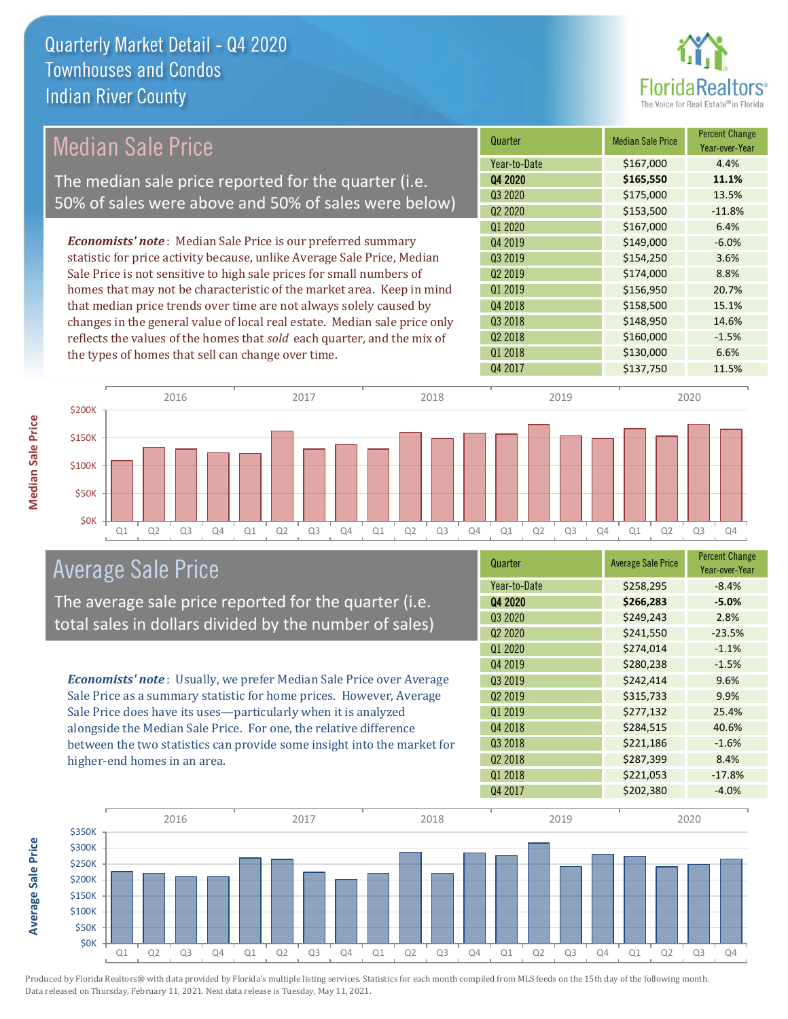

## Median Sale Price

The median sale price reported for the quarter (i.e. 50% of sales were above and 50% of sales were below)

*Economists' note* : Median Sale Price is our preferred summary statistic for price activity because, unlike Average Sale Price, Median Sale Price is not sensitive to high sale prices for small numbers of homes that may not be characteristic of the market area. Keep in mind that median price trends over time are not always solely caused by changes in the general value of local real estate. Median sale price only reflects the values of the homes that *sold* each quarter, and the mix of the types of homes that sell can change over time.

| Quarter             | <b>Median Sale Price</b> | <b>Percent Change</b><br>Year-over-Year |
|---------------------|--------------------------|-----------------------------------------|
| Year-to-Date        | \$167,000                | 4.4%                                    |
| Q4 2020             | \$165,550                | 11.1%                                   |
| Q3 2020             | \$175,000                | 13.5%                                   |
| Q <sub>2</sub> 2020 | \$153,500                | $-11.8%$                                |
| Q1 2020             | \$167,000                | 6.4%                                    |
| Q4 2019             | \$149,000                | $-6.0%$                                 |
| Q3 2019             | \$154,250                | 3.6%                                    |
| Q <sub>2</sub> 2019 | \$174,000                | 8.8%                                    |
| Q1 2019             | \$156,950                | 20.7%                                   |
| Q4 2018             | \$158,500                | 15.1%                                   |
| Q3 2018             | \$148,950                | 14.6%                                   |
| Q <sub>2</sub> 2018 | \$160,000                | $-1.5%$                                 |
| Q1 2018             | \$130,000                | 6.6%                                    |
| Q4 2017             | \$137,750                | 11.5%                                   |



### Average Sale Price

The average sale price reported for the quarter (i.e. total sales in dollars divided by the number of sales)

*Economists' note* : Usually, we prefer Median Sale Price over Average Sale Price as a summary statistic for home prices. However, Average Sale Price does have its uses—particularly when it is analyzed alongside the Median Sale Price. For one, the relative difference between the two statistics can provide some insight into the market for higher-end homes in an area.

| Quarter                         | <b>Average Sale Price</b> | <b>Percent Change</b><br>Year-over-Year |
|---------------------------------|---------------------------|-----------------------------------------|
| Year-to-Date                    | \$258,295                 | $-8.4%$                                 |
| Q4 2020                         | \$266,283                 | $-5.0%$                                 |
| Q3 2020                         | \$249,243                 | 2.8%                                    |
| Q <sub>2</sub> 20 <sub>20</sub> | \$241,550                 | $-23.5%$                                |
| Q1 2020                         | \$274,014                 | $-1.1%$                                 |
| Q4 2019                         | \$280,238                 | $-1.5%$                                 |
| Q3 2019                         | \$242,414                 | 9.6%                                    |
| Q <sub>2</sub> 2019             | \$315,733                 | 9.9%                                    |
| Q1 2019                         | \$277,132                 | 25.4%                                   |
| Q4 2018                         | \$284,515                 | 40.6%                                   |
| Q3 2018                         | \$221,186                 | $-1.6%$                                 |
| Q <sub>2</sub> 2018             | \$287,399                 | 8.4%                                    |
| 01 2018                         | \$221,053                 | $-17.8%$                                |
| Q4 2017                         | \$202,380                 | $-4.0%$                                 |



Produced by Florida Realtors® with data provided by Florida's multiple listing services. Statistics for each month compiled from MLS feeds on the 15th day of the following month. Data released on Thursday, February 11, 2021. Next data release is Tuesday, May 11, 2021.

**Average Sale Price**

**Average Sale Price**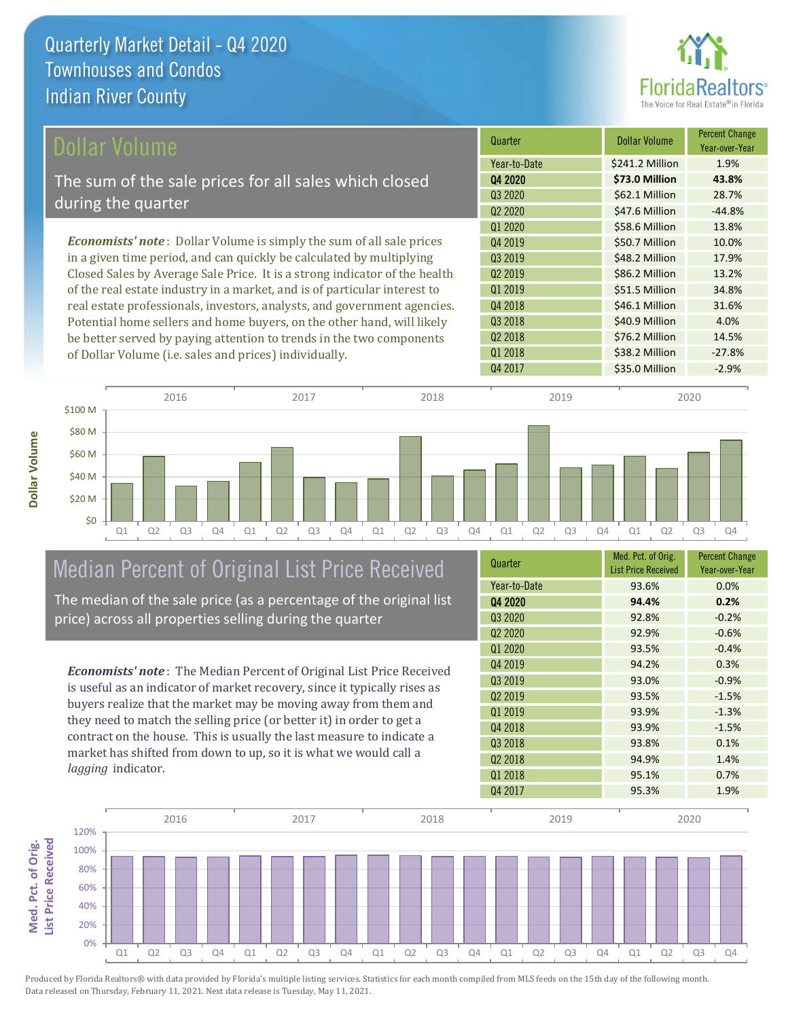

| Dollar Volume                                                                | Quarter             | <b>Dollar Volume</b> | <b>Percent Change</b><br>Year-over-Year |
|------------------------------------------------------------------------------|---------------------|----------------------|-----------------------------------------|
|                                                                              | Year-to-Date        | \$241.2 Million      | 1.9%                                    |
| The sum of the sale prices for all sales which closed                        | Q4 2020             | \$73.0 Million       | 43.8%                                   |
| during the quarter                                                           | Q3 2020             | \$62.1 Million       | 28.7%                                   |
|                                                                              | Q <sub>2</sub> 2020 | \$47.6 Million       | $-44.8%$                                |
|                                                                              | 01 2020             | \$58.6 Million       | 13.8%                                   |
| <b>Economists' note</b> : Dollar Volume is simply the sum of all sale prices | Q4 2019             | \$50.7 Million       | 10.0%                                   |
| in a given time period, and can quickly be calculated by multiplying         | 03 2019             | \$48.2 Million       | 17.9%                                   |
| Closed Sales by Average Sale Price. It is a strong indicator of the health   | Q <sub>2</sub> 2019 | \$86.2 Million       | 13.2%                                   |
| of the real estate industry in a market, and is of particular interest to    | Q1 2019             | \$51.5 Million       | 34.8%                                   |
| real estate professionals, investors, analysts, and government agencies.     | Q4 2018             | \$46.1 Million       | 31.6%                                   |
| Potential home sellers and home buyers, on the other hand, will likely       | Q3 2018             | \$40.9 Million       | 4.0%                                    |
| be better served by paying attention to trends in the two components         | Q <sub>2</sub> 2018 | \$76.2 Million       | 14.5%                                   |
| of Dollar Volume ( <i>i.e.</i> sales and prices) individually.               | 01 2018             | \$38.2 Million       | $-27.8%$                                |



# Median Percent of Original List Price Received

The median of the sale price (as a percentage of the original list price) across all properties selling during the quarter

*Economists' note* : The Median Percent of Original List Price Received is useful as an indicator of market recovery, since it typically rises as buyers realize that the market may be moving away from them and they need to match the selling price (or better it) in order to get a contract on the house. This is usually the last measure to indicate a market has shifted from down to up, so it is what we would call a *lagging* indicator.

| Quarter                         | Med. Pct. of Orig.<br><b>List Price Received</b> | <b>Percent Change</b><br>Year-over-Year |
|---------------------------------|--------------------------------------------------|-----------------------------------------|
| Year-to-Date                    | 93.6%                                            | 0.0%                                    |
| Q4 2020                         | 94.4%                                            | 0.2%                                    |
| Q3 2020                         | 92.8%                                            | $-0.2%$                                 |
| Q <sub>2</sub> 20 <sub>20</sub> | 92.9%                                            | $-0.6%$                                 |
| Q1 2020                         | 93.5%                                            | $-0.4%$                                 |
| Q4 2019                         | 94.2%                                            | 0.3%                                    |
| Q3 2019                         | 93.0%                                            | $-0.9%$                                 |
| Q <sub>2</sub> 2019             | 93.5%                                            | $-1.5%$                                 |
| 01 2019                         | 93.9%                                            | $-1.3%$                                 |
| Q4 2018                         | 93.9%                                            | $-1.5%$                                 |
| Q3 2018                         | 93.8%                                            | 0.1%                                    |
| Q <sub>2</sub> 2018             | 94.9%                                            | 1.4%                                    |
| 01 2018                         | 95.1%                                            | 0.7%                                    |
| Q4 2017                         | 95.3%                                            | 1.9%                                    |

Q4 2017 **\$35.0 Million -2.9%** 

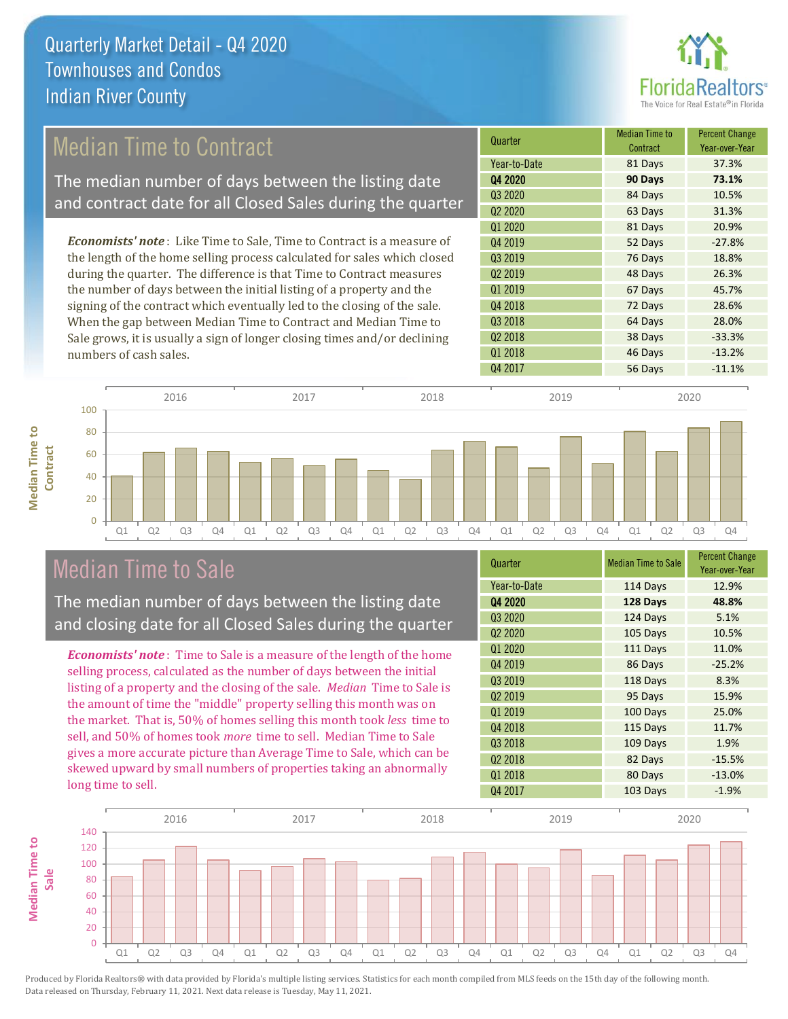

## Median Time to Contract

The median number of days between the listing date and contract date for all Closed Sales during the quarter

*Economists' note* : Like Time to Sale, Time to Contract is a measure of the length of the home selling process calculated for sales which closed during the quarter. The difference is that Time to Contract measures the number of days between the initial listing of a property and the signing of the contract which eventually led to the closing of the sale. When the gap between Median Time to Contract and Median Time to Sale grows, it is usually a sign of longer closing times and/or declining numbers of cash sales.

| Quarter             | <b>Median Time to</b><br>Contract | <b>Percent Change</b><br>Year-over-Year |
|---------------------|-----------------------------------|-----------------------------------------|
| Year-to-Date        | 81 Days                           | 37.3%                                   |
| Q4 2020             | 90 Days                           | 73.1%                                   |
| Q3 2020             | 84 Days                           | 10.5%                                   |
| Q <sub>2</sub> 2020 | 63 Days                           | 31.3%                                   |
| Q1 2020             | 81 Days                           | 20.9%                                   |
| Q4 2019             | 52 Days                           | $-27.8%$                                |
| Q3 2019             | 76 Days                           | 18.8%                                   |
| Q <sub>2</sub> 2019 | 48 Days                           | 26.3%                                   |
| Q1 2019             | 67 Days                           | 45.7%                                   |
| Q4 2018             | 72 Days                           | 28.6%                                   |
| Q3 2018             | 64 Days                           | 28.0%                                   |
| Q <sub>2</sub> 2018 | 38 Days                           | $-33.3%$                                |
| 01 2018             | 46 Days                           | $-13.2%$                                |
| Q4 2017             | 56 Days                           | $-11.1%$                                |



## Median Time to Sale

**Median Time to** 

**Median Time to** 

The median number of days between the listing date and closing date for all Closed Sales during the quarter

*Economists' note* : Time to Sale is a measure of the length of the home selling process, calculated as the number of days between the initial listing of a property and the closing of the sale. *Median* Time to Sale is the amount of time the "middle" property selling this month was on the market. That is, 50% of homes selling this month took *less* time to sell, and 50% of homes took *more* time to sell. Median Time to Sale gives a more accurate picture than Average Time to Sale, which can be skewed upward by small numbers of properties taking an abnormally long time to sell.

| Quarter             | <b>Median Time to Sale</b> | <b>Percent Change</b><br>Year-over-Year |
|---------------------|----------------------------|-----------------------------------------|
| Year-to-Date        | 114 Days                   | 12.9%                                   |
| Q4 2020             | 128 Days                   | 48.8%                                   |
| Q3 2020             | 124 Days                   | 5.1%                                    |
| Q <sub>2</sub> 2020 | 105 Days                   | 10.5%                                   |
| Q1 2020             | 111 Days                   | 11.0%                                   |
| Q4 2019             | 86 Days                    | $-25.2%$                                |
| Q3 2019             | 118 Days                   | 8.3%                                    |
| Q <sub>2</sub> 2019 | 95 Days                    | 15.9%                                   |
| Q1 2019             | 100 Days                   | 25.0%                                   |
| Q4 2018             | 115 Days                   | 11.7%                                   |
| Q3 2018             | 109 Days                   | 1.9%                                    |
| Q <sub>2</sub> 2018 | 82 Days                    | $-15.5%$                                |
| Q1 2018             | 80 Days                    | $-13.0%$                                |
| Q4 2017             | 103 Days                   | $-1.9%$                                 |

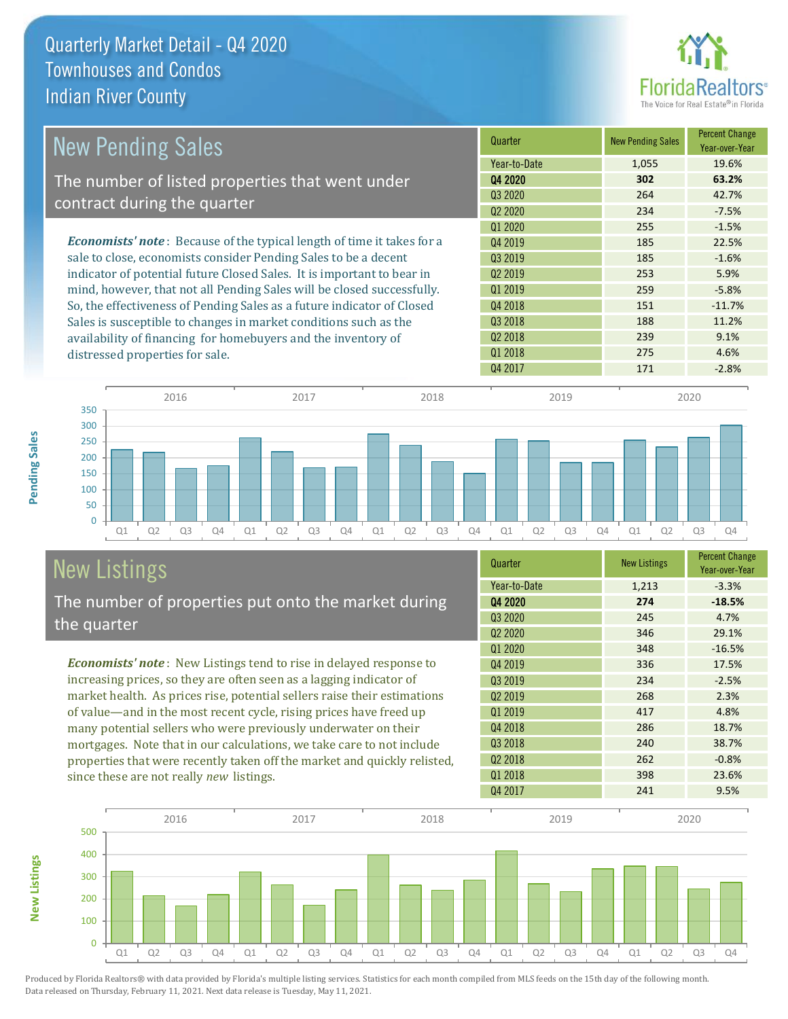

| <b>New Pending Sales</b>                                                      | Quarter             | <b>New Pending Sales</b> | <b>Percent Change</b><br>Year-over-Year |
|-------------------------------------------------------------------------------|---------------------|--------------------------|-----------------------------------------|
|                                                                               | Year-to-Date        | 1,055                    | 19.6%                                   |
| The number of listed properties that went under                               | Q4 2020             | 302                      | 63.2%                                   |
| contract during the quarter                                                   | Q3 2020             | 264                      | 42.7%                                   |
|                                                                               | Q <sub>2</sub> 2020 | 234                      | $-7.5%$                                 |
|                                                                               | Q1 2020             | 255                      | $-1.5%$                                 |
| <b>Economists' note:</b> Because of the typical length of time it takes for a | Q4 2019             | 185                      | 22.5%                                   |
| sale to close, economists consider Pending Sales to be a decent               | Q3 2019             | 185                      | $-1.6%$                                 |
| indicator of potential future Closed Sales. It is important to bear in        | 02 2019             | 253                      | 5.9%                                    |
| mind, however, that not all Pending Sales will be closed successfully.        | Q1 2019             | 259                      | $-5.8%$                                 |
| So, the effectiveness of Pending Sales as a future indicator of Closed        | Q4 2018             | 151                      | $-11.7%$                                |
| Sales is susceptible to changes in market conditions such as the              | Q3 2018             | 188                      | 11.2%                                   |
| availability of financing for homebuyers and the inventory of                 | Q <sub>2</sub> 2018 | 239                      | 9.1%                                    |
| distressed properties for sale.                                               | Q1 2018             | 275                      | 4.6%                                    |



# New Listings

**New Listings**

**Pending Sales**

Pending Sales

The number of properties put onto the market during the quarter

*Economists' note* : New Listings tend to rise in delayed response to increasing prices, so they are often seen as a lagging indicator of market health. As prices rise, potential sellers raise their estimations of value—and in the most recent cycle, rising prices have freed up many potential sellers who were previously underwater on their mortgages. Note that in our calculations, we take care to not include properties that were recently taken off the market and quickly relisted, since these are not really *new* listings.

| Quarter             | <b>New Listings</b> | <b>Percent Change</b><br>Year-over-Year |
|---------------------|---------------------|-----------------------------------------|
| Year-to-Date        | 1,213               | $-3.3%$                                 |
| 04 2020             | 274                 | $-18.5%$                                |
| Q3 2020             | 245                 | 4.7%                                    |
| Q <sub>2</sub> 2020 | 346                 | 29.1%                                   |
| Q1 2020             | 348                 | $-16.5%$                                |
| Q4 2019             | 336                 | 17.5%                                   |
| Q3 2019             | 234                 | $-2.5%$                                 |
| Q <sub>2</sub> 2019 | 268                 | 2.3%                                    |
| 01 2019             | 417                 | 4.8%                                    |
| Q4 2018             | 286                 | 18.7%                                   |
| Q3 2018             | 240                 | 38.7%                                   |
| Q <sub>2</sub> 2018 | 262                 | $-0.8%$                                 |
| 01 2018             | 398                 | 23.6%                                   |
| Q4 2017             | 241                 | 9.5%                                    |

Q4 2017 171 -2.8%

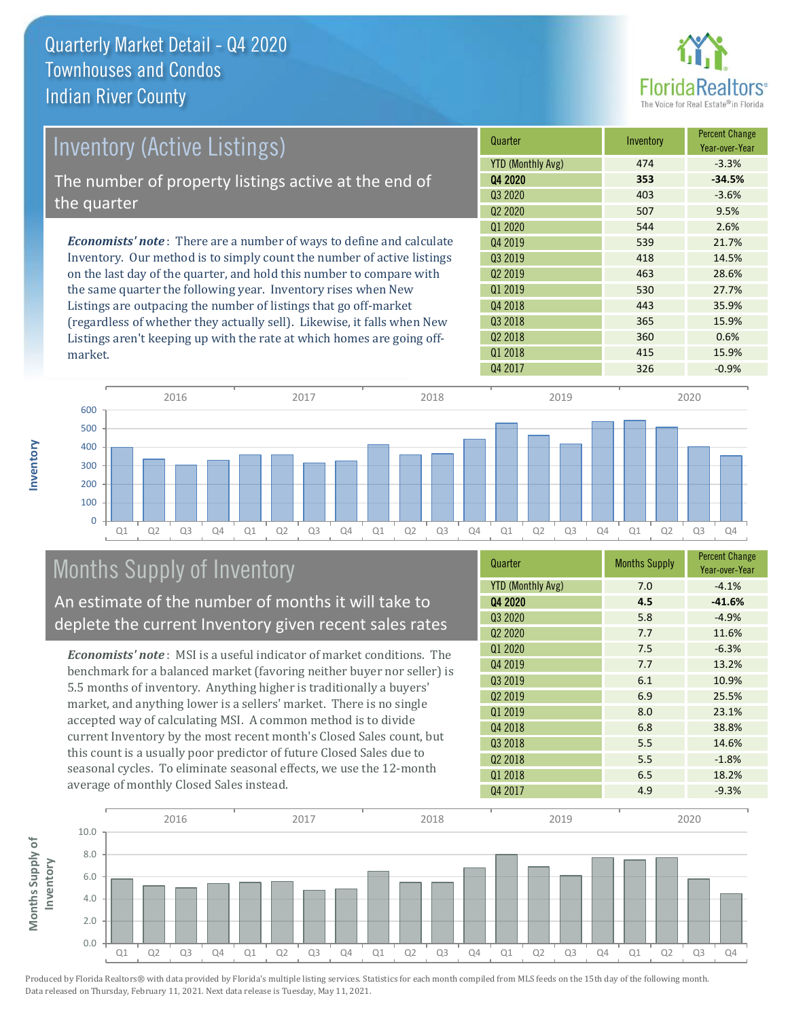

| Inventory (Active Listings)                                                  | Quarter             | Inventory | <b>Percent Change</b><br>Year-over-Year |
|------------------------------------------------------------------------------|---------------------|-----------|-----------------------------------------|
|                                                                              | YTD (Monthly Avg)   | 474       | $-3.3%$                                 |
| The number of property listings active at the end of                         | Q4 2020             | 353       | $-34.5%$                                |
| the quarter                                                                  | 03 2020             | 403       | $-3.6%$                                 |
|                                                                              | Q <sub>2</sub> 2020 | 507       | 9.5%                                    |
|                                                                              | Q1 2020             | 544       | 2.6%                                    |
| <b>Economists' note</b> : There are a number of ways to define and calculate | Q4 2019             | 539       | 21.7%                                   |
| Inventory. Our method is to simply count the number of active listings       | 03 2019             | 418       | 14.5%                                   |
| on the last day of the quarter, and hold this number to compare with         | 02 2019             | 463       | 28.6%                                   |
| the same quarter the following year. Inventory rises when New                | 01 2019             | 530       | 27.7%                                   |
| Listings are outpacing the number of listings that go off-market             | Q4 2018             | 443       | 35.9%                                   |
| (regardless of whether they actually sell). Likewise, it falls when New      | 03 2018             | 365       | 15.9%                                   |

Q4 2017 326 326 -0.9% Q1 Q2 Q3 Q4 Q1 Q2 Q3 Q4 Q1 Q2 Q3 Q4 Q1 Q2 Q3 Q4 Q1 Q2 Q3 Q4  $\overline{0}$ 100 200 300 400 500 600 2016 2017 2018 2019 2020

# Months Supply of Inventory

An estimate of the number of months it will take to deplete the current Inventory given recent sales rates

Listings aren't keeping up with the rate at which homes are going off-

*Economists' note* : MSI is a useful indicator of market conditions. The benchmark for a balanced market (favoring neither buyer nor seller) is 5.5 months of inventory. Anything higher is traditionally a buyers' market, and anything lower is a sellers' market. There is no single accepted way of calculating MSI. A common method is to divide current Inventory by the most recent month's Closed Sales count, but this count is a usually poor predictor of future Closed Sales due to seasonal cycles. To eliminate seasonal effects, we use the 12-month average of monthly Closed Sales instead.

| Quarter                  | <b>Months Supply</b> | <b>Percent Change</b><br>Year-over-Year |
|--------------------------|----------------------|-----------------------------------------|
| <b>YTD (Monthly Avg)</b> | 7.0                  | $-4.1%$                                 |
| Q4 2020                  | 4.5                  | $-41.6%$                                |
| Q3 2020                  | 5.8                  | $-4.9%$                                 |
| Q <sub>2</sub> 2020      | 7.7                  | 11.6%                                   |
| Q1 2020                  | 7.5                  | $-6.3%$                                 |
| Q4 2019                  | 7.7                  | 13.2%                                   |
| Q3 2019                  | 6.1                  | 10.9%                                   |
| Q <sub>2</sub> 2019      | 6.9                  | 25.5%                                   |
| Q1 2019                  | 8.0                  | 23.1%                                   |
| Q4 2018                  | 6.8                  | 38.8%                                   |
| Q3 2018                  | 5.5                  | 14.6%                                   |
| Q <sub>2</sub> 2018      | 5.5                  | $-1.8%$                                 |
| 01 2018                  | 6.5                  | 18.2%                                   |
| Q4 2017                  | 4.9                  | $-9.3%$                                 |

Q2 2018 200 360 0.6% Q1 2018 **415 415 15.9%** 



Produced by Florida Realtors® with data provided by Florida's multiple listing services. Statistics for each month compiled from MLS feeds on the 15th day of the following month. Data released on Thursday, February 11, 2021. Next data release is Tuesday, May 11, 2021.

market.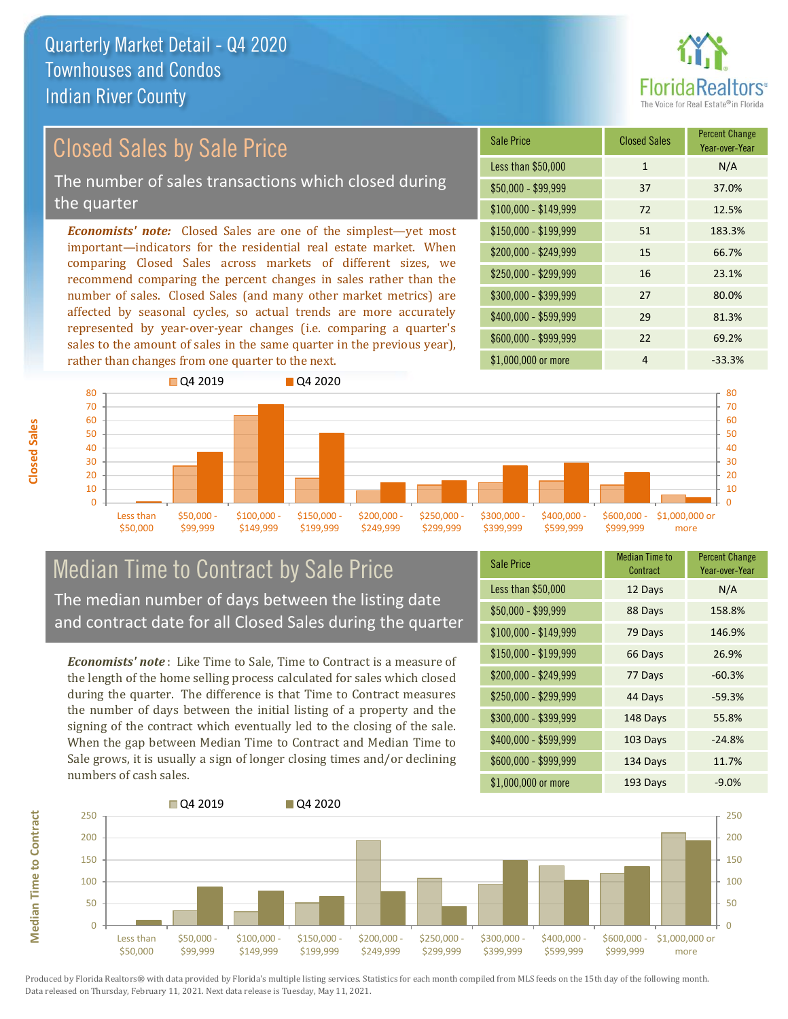

# Closed Sales by Sale Price

The number of sales transactions which closed during the quarter

*Economists' note:* Closed Sales are one of the simplest—yet most important—indicators for the residential real estate market. When comparing Closed Sales across markets of different sizes, we recommend comparing the percent changes in sales rather than the number of sales. Closed Sales (and many other market metrics) are affected by seasonal cycles, so actual trends are more accurately represented by year-over-year changes (i.e. comparing a quarter's sales to the amount of sales in the same quarter in the previous year), rather than changes from one quarter to the next.





### Median Time to Contract by Sale Price The median number of days between the listing date and contract date for all Closed Sales during the quarter

*Economists' note* : Like Time to Sale, Time to Contract is a measure of the length of the home selling process calculated for sales which closed during the quarter. The difference is that Time to Contract measures the number of days between the initial listing of a property and the signing of the contract which eventually led to the closing of the sale. When the gap between Median Time to Contract and Median Time to Sale grows, it is usually a sign of longer closing times and/or declining numbers of cash sales.

| <b>Sale Price</b>     | <b>Median Time to</b><br>Contract | <b>Percent Change</b><br>Year-over-Year |
|-----------------------|-----------------------------------|-----------------------------------------|
| Less than \$50,000    | 12 Days                           | N/A                                     |
| $$50,000 - $99,999$   | 88 Days                           | 158.8%                                  |
| $$100,000 - $149,999$ | 79 Days                           | 146.9%                                  |
| \$150,000 - \$199,999 | 66 Days                           | 26.9%                                   |
| \$200,000 - \$249,999 | 77 Days                           | $-60.3%$                                |
| \$250,000 - \$299,999 | 44 Days                           | $-59.3%$                                |
| \$300,000 - \$399,999 | 148 Days                          | 55.8%                                   |
| \$400,000 - \$599,999 | 103 Days                          | $-24.8%$                                |
| \$600,000 - \$999,999 | 134 Days                          | 11.7%                                   |
| \$1,000,000 or more   | 193 Days                          | $-9.0%$                                 |

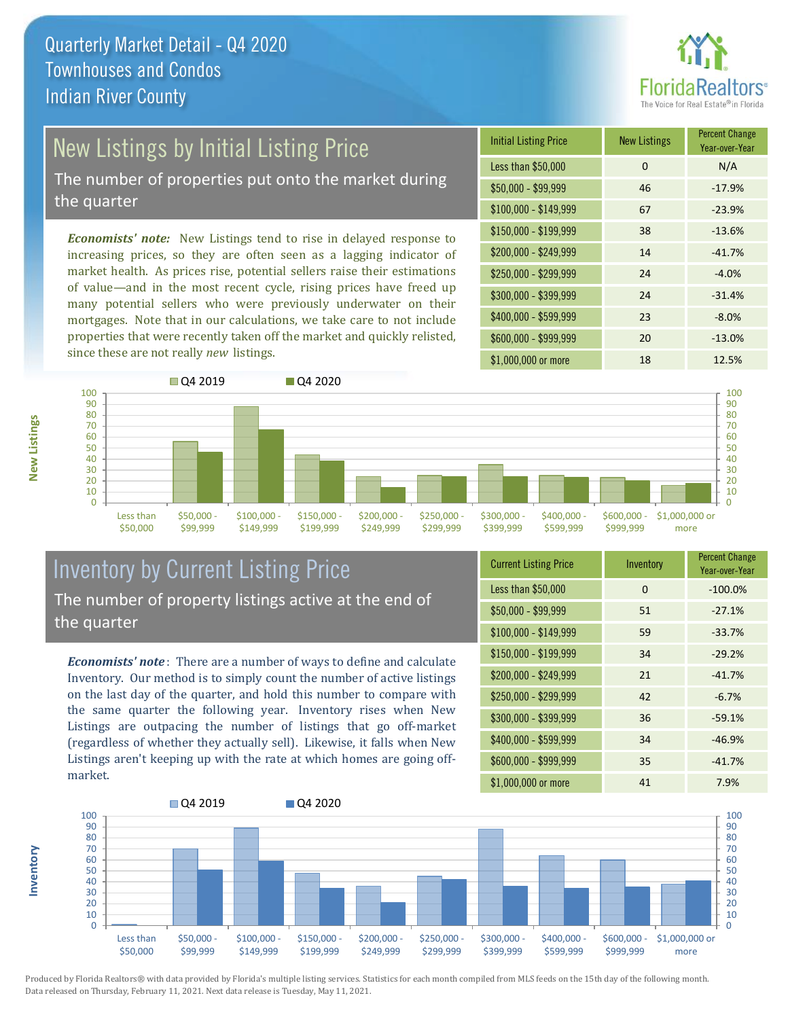

# New Listings by Initial Listing Price

The number of properties put onto the market during the quarter

*Economists' note:* New Listings tend to rise in delayed response to increasing prices, so they are often seen as a lagging indicator of market health. As prices rise, potential sellers raise their estimations of value—and in the most recent cycle, rising prices have freed up many potential sellers who were previously underwater on their mortgages. Note that in our calculations, we take care to not include properties that were recently taken off the market and quickly relisted, since these are not really *new* listings.

| <b>Initial Listing Price</b> | <b>New Listings</b> | <b>Percent Change</b><br>Year-over-Year |
|------------------------------|---------------------|-----------------------------------------|
| Less than \$50,000           | 0                   | N/A                                     |
| $$50,000 - $99,999$          | 46                  | $-17.9%$                                |
| $$100,000 - $149,999$        | 67                  | $-23.9%$                                |
| $$150,000 - $199,999$        | 38                  | $-13.6%$                                |
| \$200,000 - \$249,999        | 14                  | $-41.7%$                                |
| \$250,000 - \$299,999        | 24                  | $-4.0%$                                 |
| \$300,000 - \$399,999        | 24                  | $-31.4%$                                |
| \$400,000 - \$599,999        | 23                  | $-8.0%$                                 |
| \$600,000 - \$999,999        | 20                  | $-13.0%$                                |
| \$1,000,000 or more          | 18                  | 12.5%                                   |



### Inventory by Current Listing Price The number of property listings active at the end of the quarter

*Economists' note* : There are a number of ways to define and calculate Inventory. Our method is to simply count the number of active listings on the last day of the quarter, and hold this number to compare with the same quarter the following year. Inventory rises when New Listings are outpacing the number of listings that go off-market (regardless of whether they actually sell). Likewise, it falls when New Listings aren't keeping up with the rate at which homes are going offmarket.

| <b>Current Listing Price</b> | Inventory | <b>Percent Change</b><br>Year-over-Year |
|------------------------------|-----------|-----------------------------------------|
| Less than \$50,000           | $\Omega$  | $-100.0%$                               |
| $$50,000 - $99,999$          | 51        | $-27.1%$                                |
| $$100,000 - $149,999$        | 59        | $-33.7%$                                |
| $$150,000 - $199,999$        | 34        | $-29.2%$                                |
| \$200,000 - \$249,999        | 21        | $-41.7%$                                |
| \$250,000 - \$299,999        | 42        | $-6.7%$                                 |
| \$300,000 - \$399,999        | 36        | $-59.1%$                                |
| \$400,000 - \$599,999        | 34        | $-46.9%$                                |
| \$600,000 - \$999,999        | 35        | $-41.7%$                                |
| \$1,000,000 or more          | 41        | 7.9%                                    |



**Inventory**